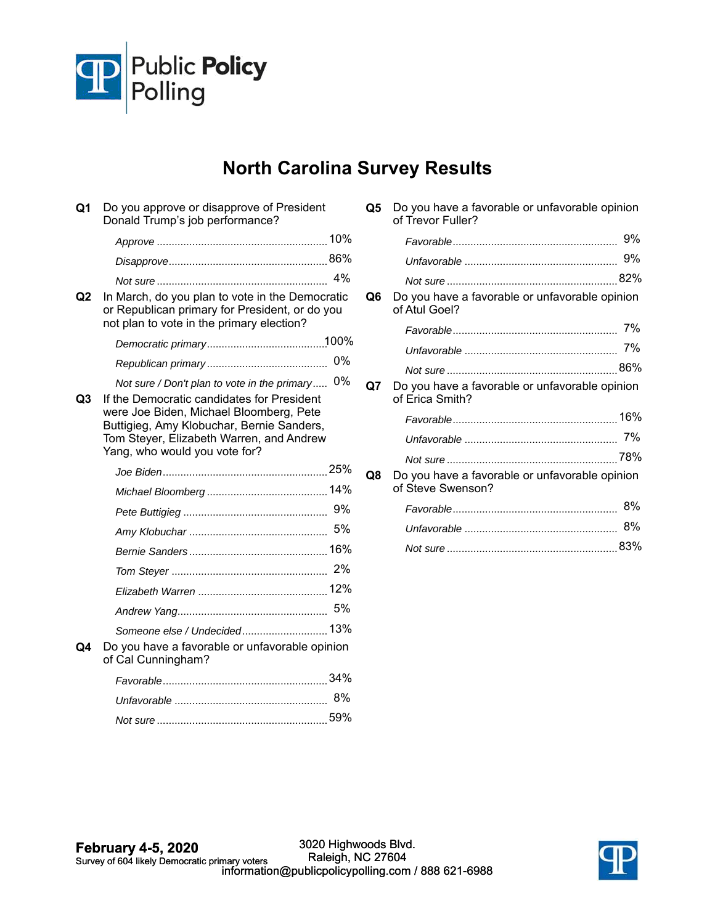

## **North Carolina Survey Results**

| Q1             | Do you approve or disapprove of President<br>Donald Trump's job performance?                                                                                                                                    |    |
|----------------|-----------------------------------------------------------------------------------------------------------------------------------------------------------------------------------------------------------------|----|
|                |                                                                                                                                                                                                                 |    |
|                |                                                                                                                                                                                                                 |    |
|                |                                                                                                                                                                                                                 | 4% |
| Q2             | In March, do you plan to vote in the Democratic<br>or Republican primary for President, or do you<br>not plan to vote in the primary election?                                                                  |    |
|                |                                                                                                                                                                                                                 |    |
|                |                                                                                                                                                                                                                 | 0% |
|                | Not sure / Don't plan to vote in the primary                                                                                                                                                                    | 0% |
| Q <sub>3</sub> | If the Democratic candidates for President<br>were Joe Biden, Michael Bloomberg, Pete<br>Buttigieg, Amy Klobuchar, Bernie Sanders,<br>Tom Steyer, Elizabeth Warren, and Andrew<br>Yang, who would you vote for? |    |
|                |                                                                                                                                                                                                                 |    |
|                |                                                                                                                                                                                                                 |    |
|                |                                                                                                                                                                                                                 | 9% |
|                |                                                                                                                                                                                                                 | 5% |
|                |                                                                                                                                                                                                                 |    |
|                |                                                                                                                                                                                                                 | 2% |
|                |                                                                                                                                                                                                                 |    |
|                |                                                                                                                                                                                                                 | 5% |
|                | Someone else / Undecided 13%                                                                                                                                                                                    |    |
| Q4             | Do you have a favorable or unfavorable opinion<br>of Cal Cunningham?                                                                                                                                            |    |
|                |                                                                                                                                                                                                                 |    |
|                |                                                                                                                                                                                                                 | 8% |
|                |                                                                                                                                                                                                                 |    |

| Q5             | Do you have a favorable or unfavorable opinion<br>of Trevor Fuller? |     |
|----------------|---------------------------------------------------------------------|-----|
|                |                                                                     | 9%  |
|                |                                                                     | 9%  |
|                |                                                                     |     |
| Q <sub>6</sub> | Do you have a favorable or unfavorable opinion<br>of Atul Goel?     |     |
|                |                                                                     | 7%  |
|                |                                                                     |     |
|                |                                                                     |     |
| Q7             | Do you have a favorable or unfavorable opinion<br>of Erica Smith?   |     |
|                |                                                                     |     |
|                |                                                                     | 7%  |
|                |                                                                     |     |
| Q8             | Do you have a favorable or unfavorable opinion<br>of Steve Swenson? |     |
|                |                                                                     | 8%  |
|                |                                                                     | 8%  |
|                |                                                                     | 83% |

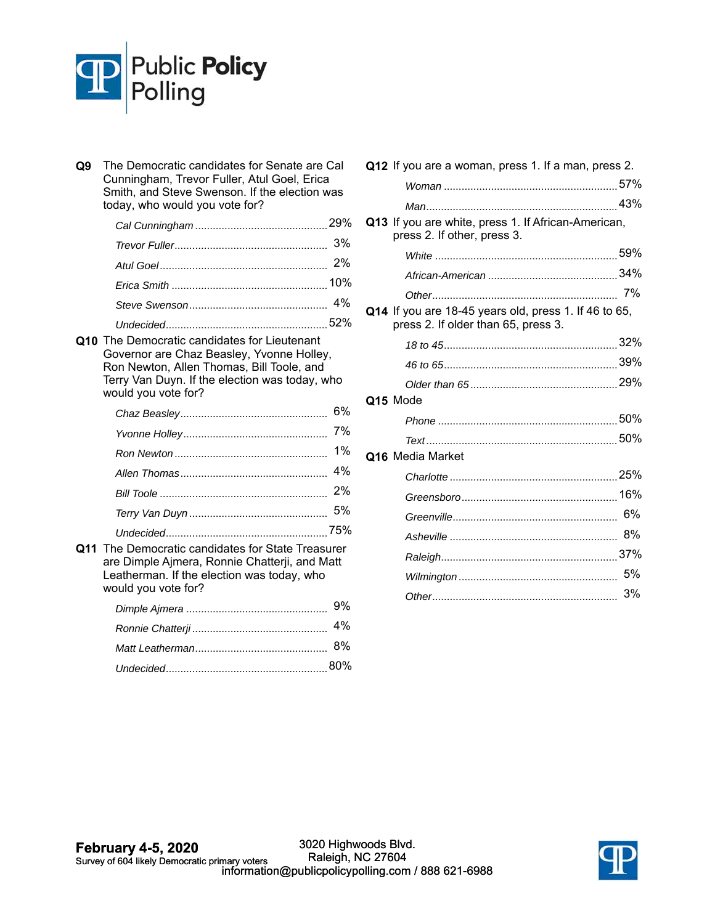

| Q9 | The Democratic candidates for Senate are Cal<br>Cunningham, Trevor Fuller, Atul Goel, Erica<br>Smith, and Steve Swenson. If the election was<br>today, who would you vote for?                                  |    |
|----|-----------------------------------------------------------------------------------------------------------------------------------------------------------------------------------------------------------------|----|
|    |                                                                                                                                                                                                                 |    |
|    |                                                                                                                                                                                                                 | 3% |
|    |                                                                                                                                                                                                                 | 2% |
|    |                                                                                                                                                                                                                 |    |
|    |                                                                                                                                                                                                                 | 4% |
|    |                                                                                                                                                                                                                 |    |
|    | Q10 The Democratic candidates for Lieutenant<br>Governor are Chaz Beasley, Yvonne Holley,<br>Ron Newton, Allen Thomas, Bill Toole, and<br>Terry Van Duyn. If the election was today, who<br>would you vote for? |    |
|    |                                                                                                                                                                                                                 | 6% |
|    |                                                                                                                                                                                                                 | 7% |
|    |                                                                                                                                                                                                                 | 1% |
|    |                                                                                                                                                                                                                 | 4% |
|    |                                                                                                                                                                                                                 | 2% |
|    |                                                                                                                                                                                                                 | 5% |
|    |                                                                                                                                                                                                                 |    |
|    | Q11 The Democratic candidates for State Treasurer<br>are Dimple Ajmera, Ronnie Chatterji, and Matt<br>Leatherman. If the election was today, who<br>would you vote for?                                         |    |
|    |                                                                                                                                                                                                                 | 9% |
|    |                                                                                                                                                                                                                 | 4% |
|    |                                                                                                                                                                                                                 | 8% |
|    |                                                                                                                                                                                                                 |    |

| Q12 If you are a woman, press 1. If a man, press 2.                                          |    |
|----------------------------------------------------------------------------------------------|----|
|                                                                                              |    |
| Q13 If you are white, press 1. If African-American,<br>press 2. If other, press 3.           |    |
|                                                                                              |    |
|                                                                                              |    |
|                                                                                              |    |
| Q14 If you are 18-45 years old, press 1. If 46 to 65,<br>press 2. If older than 65, press 3. |    |
|                                                                                              |    |
|                                                                                              |    |
|                                                                                              |    |
| Q15 Mode                                                                                     |    |
|                                                                                              |    |
|                                                                                              |    |
| Q16 Media Market                                                                             |    |
|                                                                                              |    |
|                                                                                              |    |
|                                                                                              | 6% |
|                                                                                              | 8% |
|                                                                                              |    |
|                                                                                              | 5% |
|                                                                                              | 3% |
|                                                                                              |    |

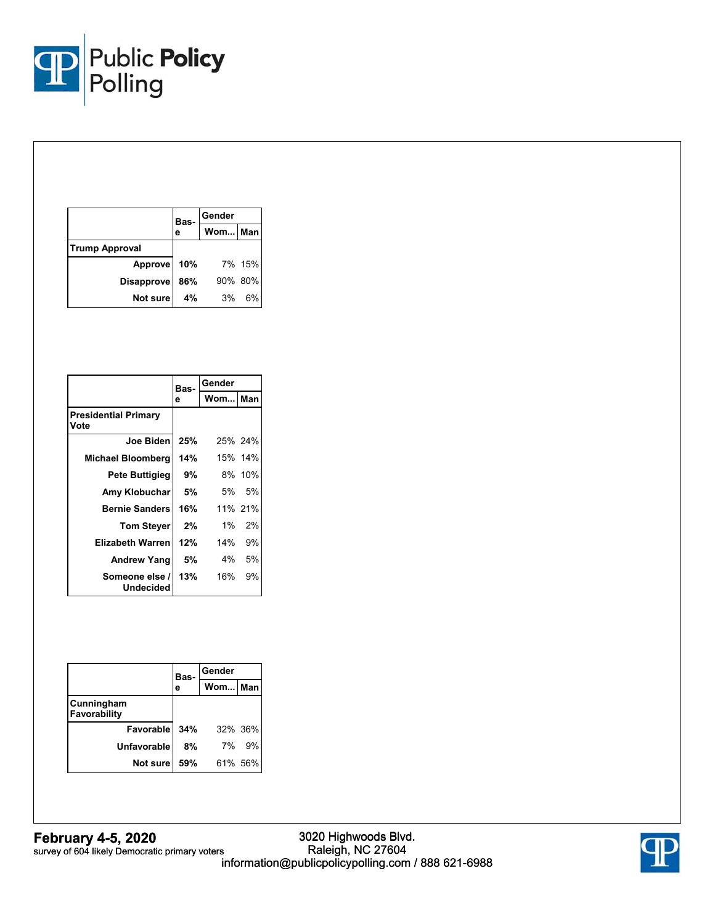

|                       | Bas- | Gender  |        |
|-----------------------|------|---------|--------|
|                       | е    | Wom Man |        |
| <b>Trump Approval</b> |      |         |        |
| Approve               | 10%  |         | 7% 15% |
| <b>Disapprove</b>     | 86%  | 90% 80% |        |
| Not sure              | 4%   | 3%      | 6%     |

|                                     | Bas- | Gender  |         |
|-------------------------------------|------|---------|---------|
|                                     | е    | Wom Man |         |
| <b>Presidential Primary</b><br>Vote |      |         |         |
| Joe Biden                           | 25%  |         | 25% 24% |
| <b>Michael Bloomberg</b>            | 14%  |         | 15% 14% |
| Pete Buttigieg                      | 9%   |         | 8% 10%  |
| Amy Klobuchar                       | 5%   | 5%      | 5%      |
| <b>Bernie Sanders</b>               | 16%  |         | 11% 21% |
| <b>Tom Steyer</b>                   | 2%   | 1%      | 2%      |
| <b>Elizabeth Warren</b>             | 12%  | 14%     | 9%      |
| <b>Andrew Yang</b>                  | 5%   | 4%      | 5%      |
| Someone else /<br>Undecided         | 13%  | 16%     | 9%      |

|                            | Bas- | Gender    |    |
|----------------------------|------|-----------|----|
|                            | е    | Wom   Man |    |
| Cunningham<br>Favorability |      |           |    |
| Favorable                  | 34%  | 32% 36%   |    |
| <b>Unfavorable</b>         | 8%   | 7%        | 9% |
| Not sure                   | 59%  | 61% 56%   |    |

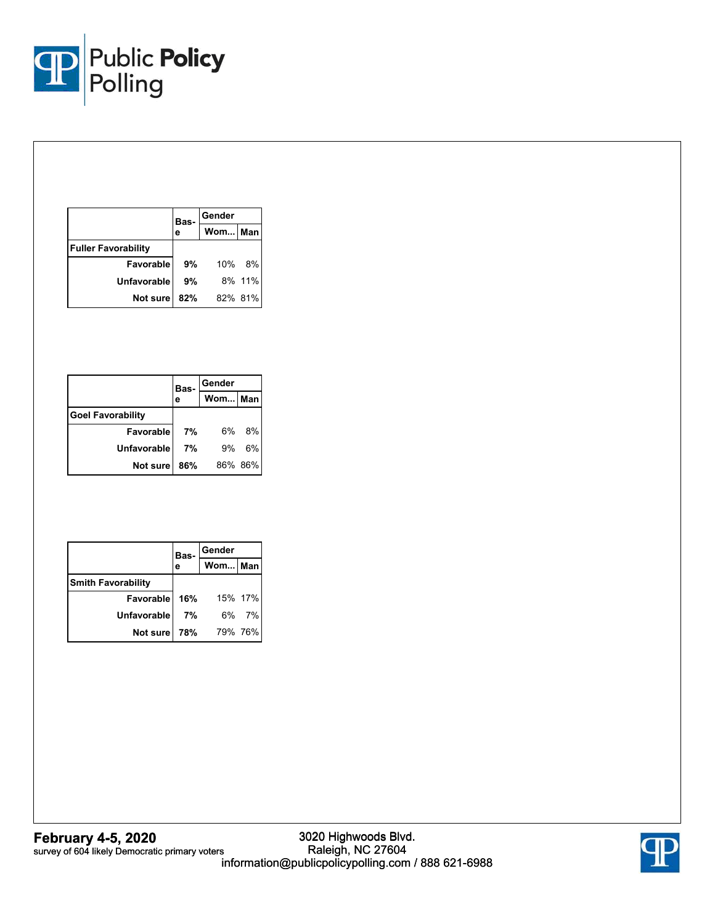

|                            | Bas- | Gender  |        |
|----------------------------|------|---------|--------|
|                            | е    | Wom Man |        |
| <b>Fuller Favorability</b> |      |         |        |
| Favorable                  | 9%   | 10%     | - 8%   |
| <b>Unfavorable</b>         | 9%   |         | 8% 11% |
| Not sure                   | 82%  | 82% 81% |        |

|                          | Bas-<br>е | Gender  |    |
|--------------------------|-----------|---------|----|
|                          |           | Wom Man |    |
| <b>Goel Favorability</b> |           |         |    |
| Favorable                | 7%        | 6%      | 8% |
| <b>Unfavorable</b>       | 7%        | 9%      | 6% |
| <b>Not sure</b>          | 86%       | 86% 86% |    |

|                              | Bas- | Gender      |       |
|------------------------------|------|-------------|-------|
|                              |      | Wom Man     |       |
| <b>Smith Favorability</b>    |      |             |       |
| <b>Favorable 16%</b> 15% 17% |      |             |       |
| Unfavorable                  | 7%   |             | 6% 7% |
| Not sure                     |      | 78% 79% 76% |       |

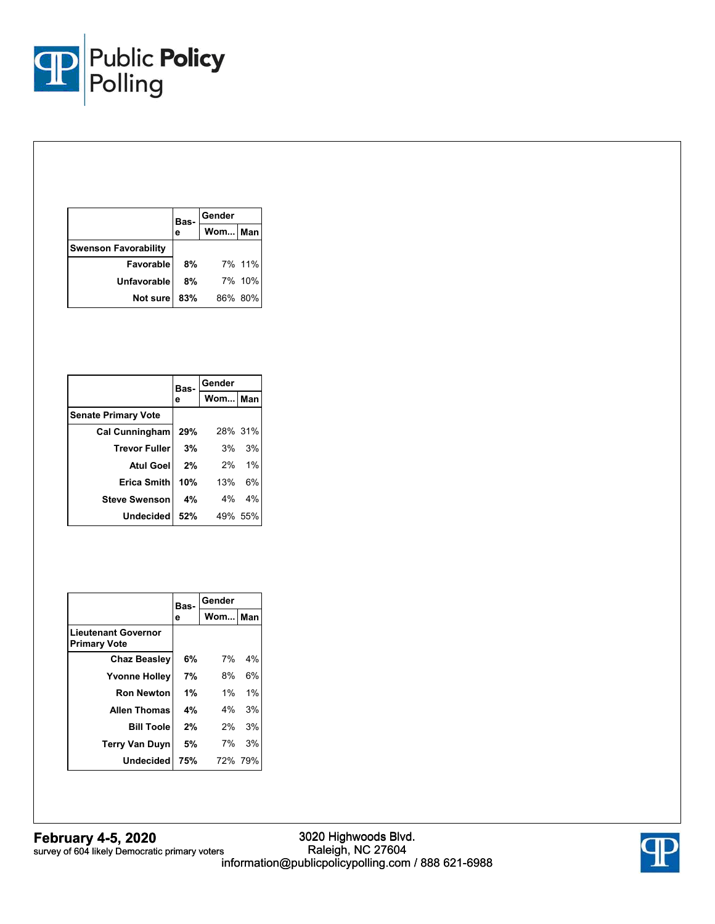

|                             | Bas- | Gender  |        |  |
|-----------------------------|------|---------|--------|--|
|                             | е    | Wom Man |        |  |
| <b>Swenson Favorability</b> |      |         |        |  |
| <b>Favorable</b>            | 8%   |         | 7% 11% |  |
| <b>Unfavorable</b>          | 8%   |         | 7% 10% |  |
| <b>Not sure</b>             | 83%  | 86% 80% |        |  |

|                            |     | Bas-    | Gender  |  |
|----------------------------|-----|---------|---------|--|
|                            | е   | Wom Man |         |  |
| <b>Senate Primary Vote</b> |     |         |         |  |
| Cal Cunningham             | 29% |         | 28% 31% |  |
| <b>Trevor Fuller</b>       | 3%  |         | 3% 3%   |  |
| <b>Atul Goel</b>           | 2%  |         | 2% 1%   |  |
| Erica Smith                | 10% | 13%     | 6%      |  |
| <b>Steve Swenson</b>       | 4%  |         | 4% 4%   |  |
| <b>Undecided</b>           | 52% |         | 49% 55% |  |

|                                                   | Bas- | Gender    |         |  |
|---------------------------------------------------|------|-----------|---------|--|
|                                                   | е    | Wom I Man |         |  |
| <b>Lieutenant Governor</b><br><b>Primary Vote</b> |      |           |         |  |
| <b>Chaz Beasley</b>                               | 6%   | 7%        | 4%      |  |
| <b>Yvonne Holley</b>                              | 7%   | 8%        | 6%      |  |
| <b>Ron Newton</b>                                 | 1%   | $1\%$     | 1%      |  |
| <b>Allen Thomas</b>                               | 4%   | 4%        | 3%      |  |
| <b>Bill Toole</b>                                 | 2%   | 2%        | 3%      |  |
| <b>Terry Van Duyn</b>                             | 5%   | 7%        | 3%      |  |
| <b>Undecided</b>                                  | 75%  |           | 72% 79% |  |

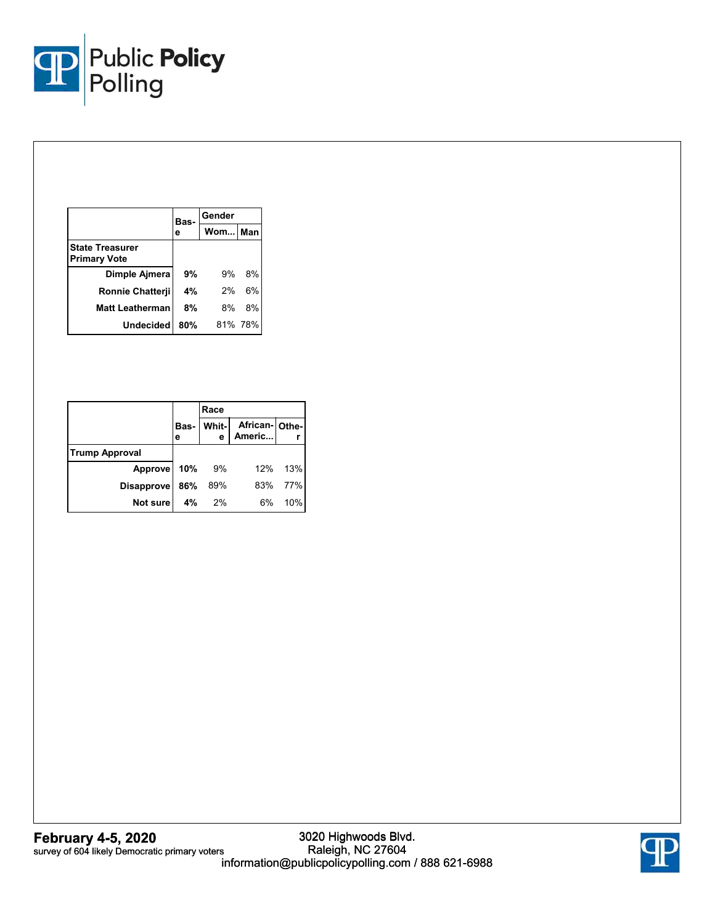

|                                               | Bas-<br>е | Gender  |         |
|-----------------------------------------------|-----------|---------|---------|
|                                               |           | Wom Man |         |
| <b>State Treasurer</b><br><b>Primary Vote</b> |           |         |         |
| Dimple Ajmera                                 | 9%        | 9%      | 8%      |
| Ronnie Chatterji                              | 4%        | 2%      | 6%      |
| Matt Leatherman                               | 8%        | 8%      | 8%      |
| <b>Undecided</b>                              | 80%       |         | 81% 78% |

|                       |           | Race       |                         |     |
|-----------------------|-----------|------------|-------------------------|-----|
|                       | Bas-<br>е | Whit-<br>е | African-Othe-<br>Americ |     |
| <b>Trump Approval</b> |           |            |                         |     |
| Approve               | 10%       | 9%         | 12%                     | 13% |
| <b>Disapprove</b>     | 86%       | 89%        | 83%                     | 77% |
| Not sure              | 4%        | - 2%       | 6%                      | 10% |

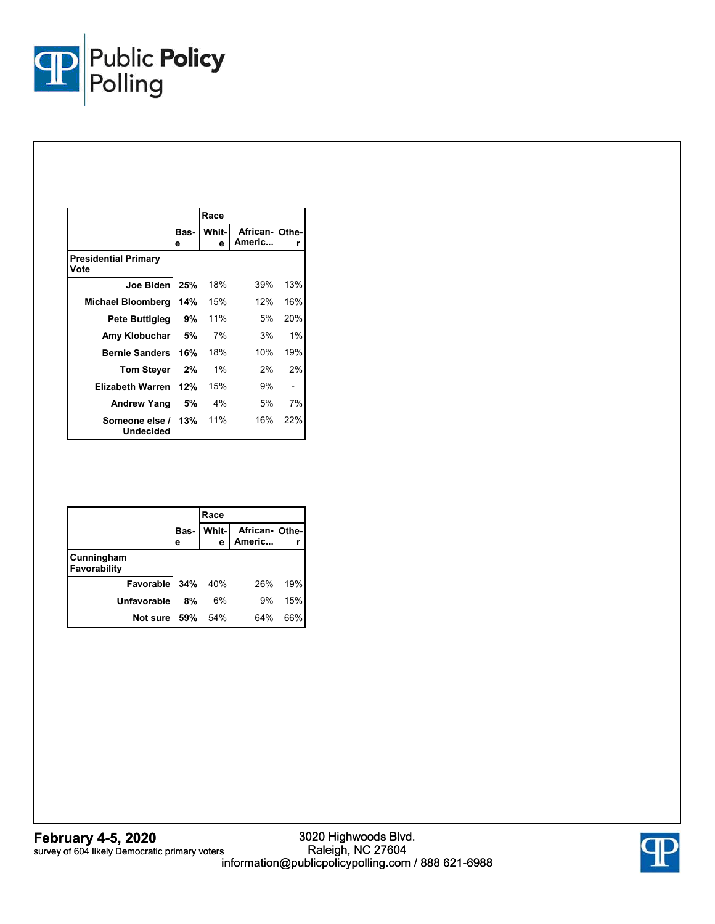

|                                     |           | Race       |                          |     |
|-------------------------------------|-----------|------------|--------------------------|-----|
|                                     | Bas-<br>е | Whit-<br>е | African- Othe-<br>Americ | r   |
| <b>Presidential Primary</b><br>Vote |           |            |                          |     |
| Joe Biden                           | 25%       | 18%        | 39%                      | 13% |
| <b>Michael Bloomberg</b>            | 14%       | 15%        | 12%                      | 16% |
| Pete Buttigieg                      | 9%        | 11%        | 5%                       | 20% |
| Amy Klobuchar                       | 5%        | 7%         | 3%                       | 1%  |
| <b>Bernie Sanders</b>               | 16%       | 18%        | 10%                      | 19% |
| <b>Tom Steyer</b>                   | 2%        | $1\%$      | 2%                       | 2%  |
| <b>Elizabeth Warren</b>             | 12%       | 15%        | 9%                       |     |
| Andrew Yang                         | 5%        | 4%         | 5%                       | 7%  |
| Someone else /<br><b>Undecided</b>  | 13%       | 11%        | 16%                      | 22% |

|                            |           | Race        |                         |     |
|----------------------------|-----------|-------------|-------------------------|-----|
|                            | Bas-<br>е | Whit-I<br>e | African-Othe-<br>Americ |     |
| Cunningham<br>Favorability |           |             |                         |     |
| Favorable                  | 34%       | 40%         | 26%                     | 19% |
| <b>Unfavorable</b>         | 8%        | 6%          | 9%                      | 15% |
| Not sure                   | 59%       | 54%         | 64%                     | 66% |

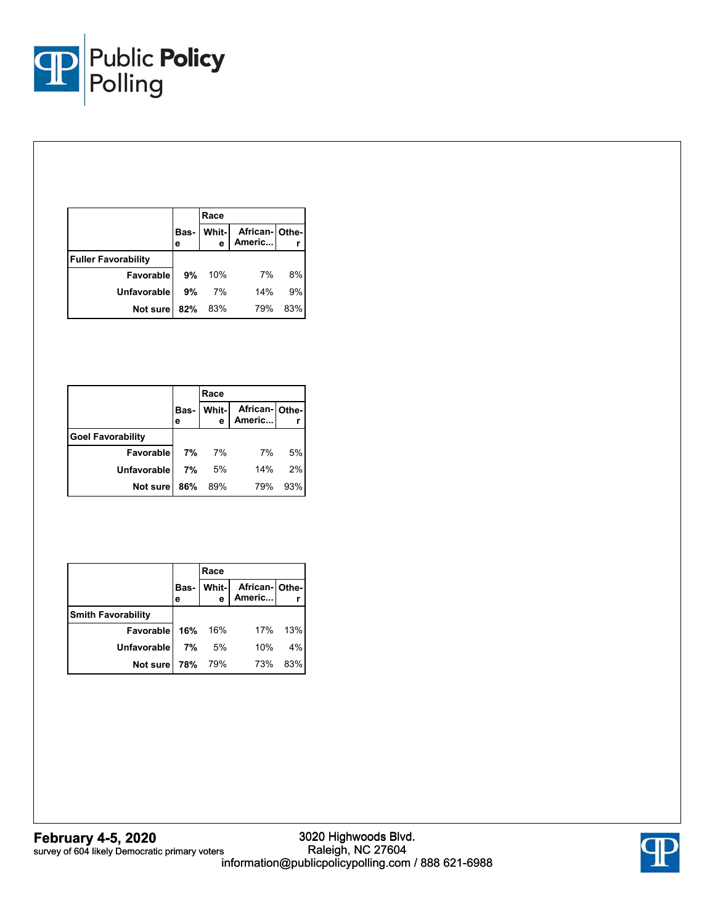

|                            |           | Race  |               |     |
|----------------------------|-----------|-------|---------------|-----|
|                            | Bas-<br>е | Whit- | African-Othe- |     |
| <b>Fuller Favorability</b> |           |       |               |     |
| Favorable                  | 9%        | 10%   | 7%            | 8%  |
| <b>Unfavorable</b>         | 9%        | 7%    | 14%           | 9%  |
| Not sure                   | 82%       | 83%   | 79%           | 83% |

|                          |           | Race       |               |     |
|--------------------------|-----------|------------|---------------|-----|
|                          | Bas-<br>е | Whit-<br>е | African-Othe- |     |
| <b>Goel Favorability</b> |           |            |               |     |
| Favorable                | 7%        | 7%         | 7%            | 5%  |
| Unfavorable              | 7%        | 5%         | 14%           | 2%  |
| Not sure                 | 86%       | 89%        | 79%           | 93% |

|                           | Race  |                                         |     |
|---------------------------|-------|-----------------------------------------|-----|
|                           |       | Bas- Whit- African- Othe-<br>e Americ r |     |
| <b>Smith Favorability</b> |       |                                         |     |
| Favorable 16% 16%         |       | 17% 13%                                 |     |
| <b>Unfavorable</b>        | 7% 5% | 10%                                     | 4%  |
| Not sure 78% 79%          |       | 73%                                     | 83% |

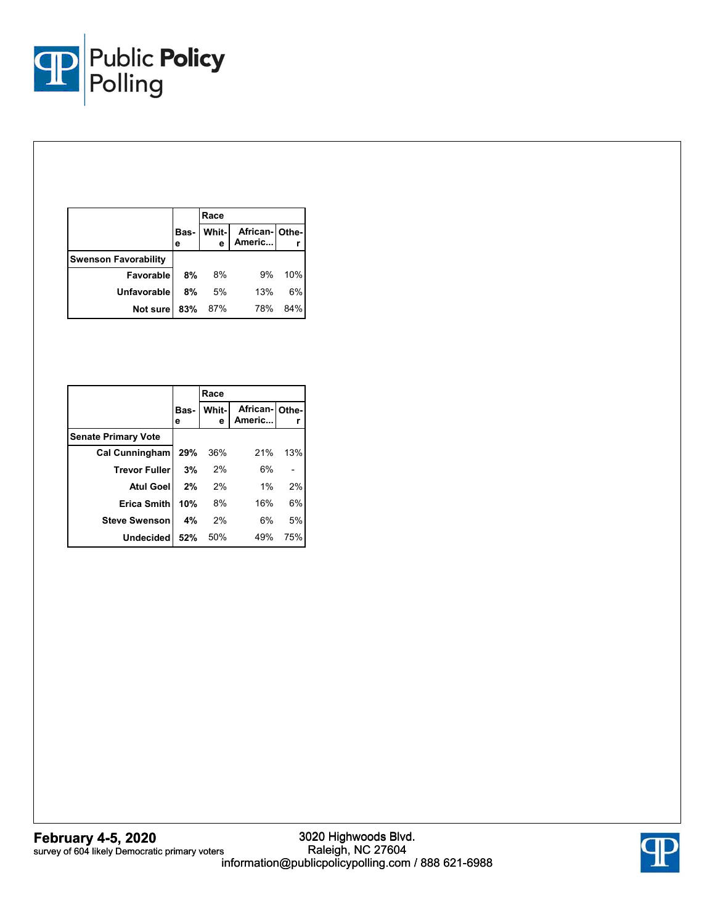

|                             |           | Race  |                            |     |
|-----------------------------|-----------|-------|----------------------------|-----|
|                             | Bas-<br>е | Whit- | African- Othe-<br>Americ r |     |
| <b>Swenson Favorability</b> |           |       |                            |     |
| Favorable                   | 8%        | 8%    | 9%                         | 10% |
| <b>Unfavorable</b>          | 8%        | 5%    | 13%                        | 6%  |
| Not sure                    | 83%       | 87%   | 78%                        | 84% |

|                            |           | Race       |                         |     |
|----------------------------|-----------|------------|-------------------------|-----|
|                            | Bas-<br>е | Whit-<br>е | African-Othe-<br>Americ |     |
| <b>Senate Primary Vote</b> |           |            |                         |     |
| Cal Cunningham             | 29%       | 36%        | 21%                     | 13% |
| <b>Trevor Fuller</b>       | 3%        | 2%         | 6%                      |     |
| <b>Atul Goell</b>          | 2%        | 2%         | 1%                      | 2%  |
| Erica Smith                | 10%       | 8%         | 16%                     | 6%  |
| <b>Steve Swenson</b>       | 4%        | 2%         | 6%                      | 5%  |
| <b>Undecided</b>           | 52%       | 50%        | 49%                     | 75% |

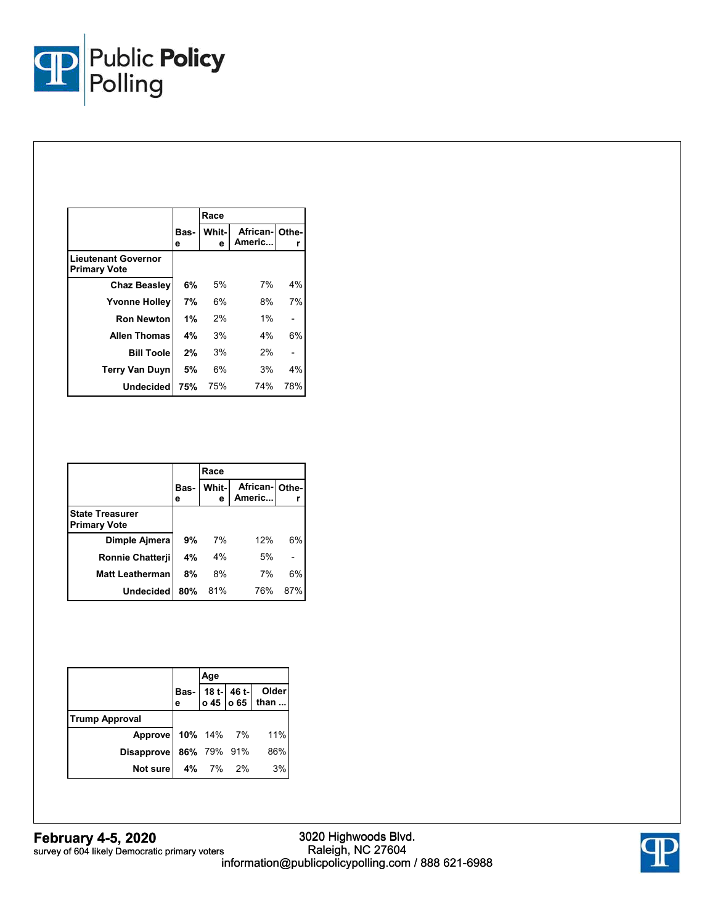

|                                            |           | Race       |                         |     |
|--------------------------------------------|-----------|------------|-------------------------|-----|
|                                            | Bas-<br>е | Whit-<br>е | African-Othe-<br>Americ | r   |
| Lieutenant Governor<br><b>Primary Vote</b> |           |            |                         |     |
| <b>Chaz Beasley</b>                        | 6%        | 5%         | 7%                      | 4%  |
| <b>Yvonne Holley</b>                       | 7%        | 6%         | 8%                      | 7%  |
| <b>Ron Newton</b>                          | 1%        | 2%         | 1%                      |     |
| <b>Allen Thomas</b>                        | 4%        | 3%         | 4%                      | 6%  |
| <b>Bill Toole</b>                          | 2%        | 3%         | 2%                      |     |
| <b>Terry Van Duyn</b>                      | 5%        | 6%         | 3%                      | 4%  |
| <b>Undecided</b>                           | 75%       | 75%        | 74%                     | 78% |

|                                               |           | Race        |                         |     |
|-----------------------------------------------|-----------|-------------|-------------------------|-----|
|                                               | Bas-<br>е | Whit-l<br>е | African-Othe-<br>Americ |     |
| <b>State Treasurer</b><br><b>Primary Vote</b> |           |             |                         |     |
| Dimple Ajmera                                 | 9%        | 7%          | 12%                     | 6%  |
| <b>Ronnie Chatterii</b>                       | 4%        | 4%          | 5%                      |     |
| <b>Matt Leatherman</b>                        | 8%        | 8%          | 7%                      | 6%  |
| <b>Undecided</b>                              | 80%       | 81%         | 76%                     | 87% |

|                        | Age |             |                                            |
|------------------------|-----|-------------|--------------------------------------------|
|                        |     |             | Bas- 18 t- 46 t- Older<br>e 0 45 0 65 than |
| <b>Trump Approval</b>  |     |             |                                            |
| Approve 10% 14% 7% 11% |     |             |                                            |
| <b>Disapprove</b>      |     | 86% 79% 91% | 86%                                        |
| Not sure 4% 7% 2%      |     |             | 3%                                         |

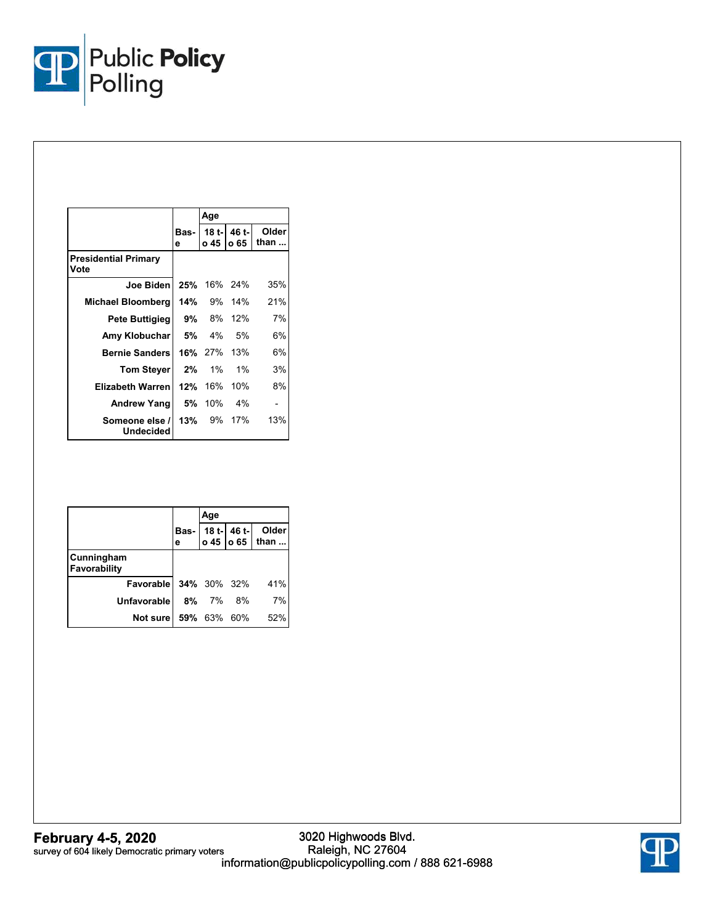

|                                     |           | Age               |                       |               |
|-------------------------------------|-----------|-------------------|-----------------------|---------------|
|                                     | Bas-<br>е | o 45              | 18 t-l 46 t-l<br>o 65 | Older<br>than |
| <b>Presidential Primary</b><br>Vote |           |                   |                       |               |
| Joe Biden                           |           | 25% 16% 24%       |                       | 35%           |
| Michael Bloomberg                   |           |                   | <b>14%</b> 9% 14%     | 21%           |
| Pete Buttigieg                      |           | <b>9%</b> 8% 12%  |                       | 7%            |
| Amy Klobuchar                       | 5%        | 4%                | .5%                   | 6%            |
| <b>Bernie Sanders</b>               |           | 16% 27% 13%       |                       | 6%            |
| <b>Tom Stever</b>                   |           | $2\%$ 1%          | $1\%$                 | 3%            |
| Elizabeth Warren                    |           | 12% 16%           | 10%                   | 8%            |
| Andrew Yang                         |           | 5% 10%            | 4%                    |               |
| Someone else /<br>Undecided         |           | <b>13%</b> 9% 17% |                       | 13%           |

|                            | Age         |  |                                            |
|----------------------------|-------------|--|--------------------------------------------|
|                            |             |  | Bas- 18 t- 46 t- Older<br>e 0 45 0 65 than |
| Cunningham<br>Favorability |             |  |                                            |
| Favorable 34% 30% 32%      |             |  | 41%                                        |
| <b>Unfavorable</b>         | 8% 7% 8%    |  | 7%                                         |
| Not sure l                 | 59% 63% 60% |  | 52%                                        |

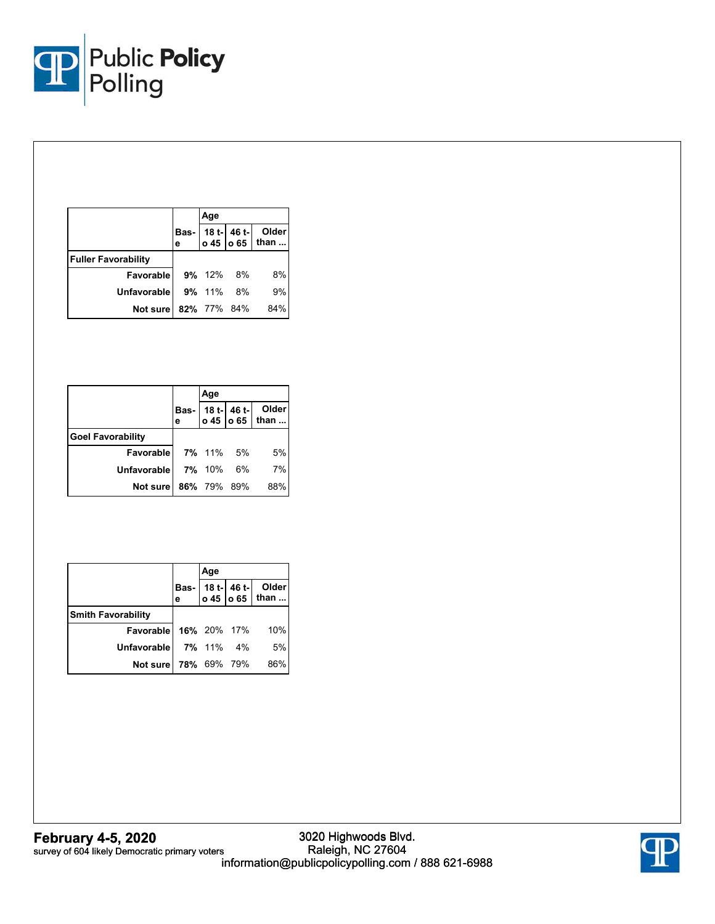

|                            | Age       |                    |                                                |
|----------------------------|-----------|--------------------|------------------------------------------------|
|                            |           |                    | Bas- 18 t- 46 t- Older<br>e 0 45   0 65   than |
| <b>Fuller Favorability</b> |           |                    |                                                |
| <b>Favorable 9% 12% 8%</b> |           |                    | 8%                                             |
| Unfavorable                | 9% 11% 8% |                    | 9%                                             |
| Not sure!                  |           | <b>82%</b> 77% 84% | 84%                                            |

|                            | Age       |  |                                            |
|----------------------------|-----------|--|--------------------------------------------|
|                            |           |  | Bas- 18 t- 46 t- Older<br>e 0 45 0 65 than |
| <b>Goel Favorability</b>   |           |  |                                            |
| <b>Favorable</b> 7% 11% 5% |           |  | 5%                                         |
| Unfavorable                | 7% 10% 6% |  | 7%                                         |
| Not sure 86% 79% 89%       |           |  | 88%                                        |

|                                 | Age |                                            |
|---------------------------------|-----|--------------------------------------------|
|                                 |     | Bas- 18 t- 46 t- Older<br>e 0 45 0 65 than |
| <b>Smith Favorability</b>       |     |                                            |
| Favorable 16% 20% 17% 10%       |     |                                            |
| <b>Unfavorable</b> 7% 11% 4% 5% |     |                                            |
| Not sure 78% 69% 79% 86%        |     |                                            |

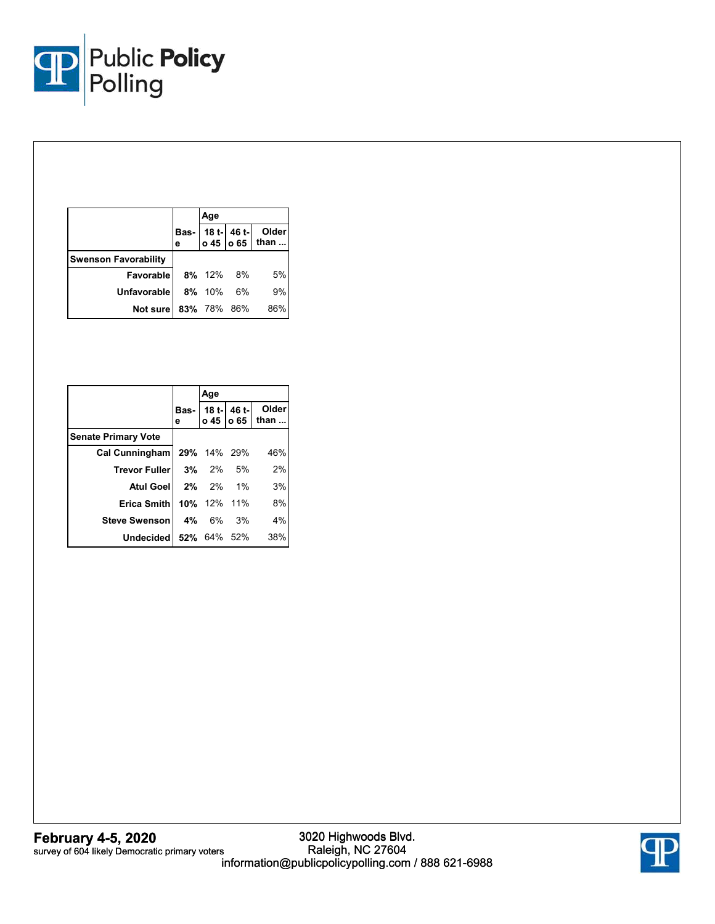

|                             | Age       |             |                                                |
|-----------------------------|-----------|-------------|------------------------------------------------|
|                             |           |             | Bas- 18 t- 46 t- Older<br>e 0 45   0 65   than |
| <b>Swenson Favorability</b> |           |             |                                                |
| <b>Favorable 8% 12% 8%</b>  |           |             | 5%                                             |
| <b>Unfavorable</b>          | 8% 10% 6% |             | 9%                                             |
| Not sure                    |           | 83% 78% 86% | 86%                                            |

|                                  | Age      |  |                                            |
|----------------------------------|----------|--|--------------------------------------------|
|                                  |          |  | Bas- 18 t- 46 t- Older<br>e 0 45 0 65 than |
| <b>Senate Primary Vote</b>       |          |  |                                            |
| Cal Cunningham   29% 14% 29%     |          |  | 46%                                        |
| Trevor Fuller 3% 2% 5%           |          |  | 2%                                         |
| <b>Atul Goel 2% 2% 1%</b>        |          |  | 3%                                         |
| <b>Erica Smith   10%</b> 12% 11% |          |  | 8%                                         |
| <b>Steve Swenson</b>             | 4% 6% 3% |  | 4%                                         |
| Undecided 52% 64% 52%            |          |  | 38%                                        |

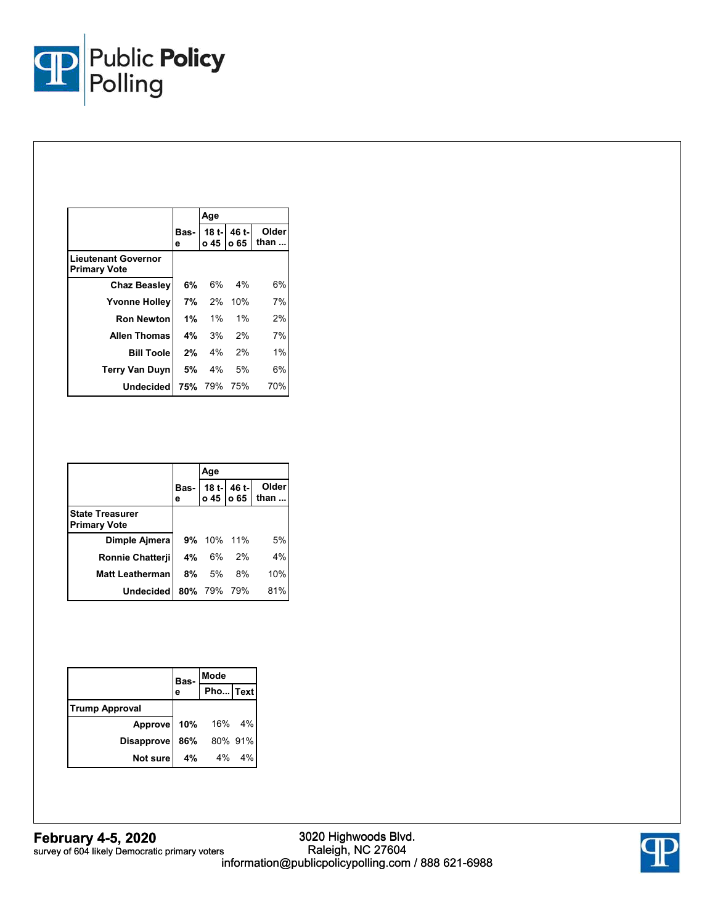

|                                            |           | Age         |                             |               |
|--------------------------------------------|-----------|-------------|-----------------------------|---------------|
|                                            | Bas-<br>е |             | 18 t-1 46 t-1<br>o 45 lo 65 | Older<br>than |
| Lieutenant Governor<br><b>Primary Vote</b> |           |             |                             |               |
| <b>Chaz Beasley</b>                        | 6%        | 6%          | $4\%$                       | 6%            |
| <b>Yvonne Holley</b>                       |           | 7% 2%       | 10%                         | 7%            |
| Ron Newton                                 | 1%        | $1\%$       | $1\%$                       | 2%            |
| <b>Allen Thomas</b>                        | 4%        | 3%          | 2%                          | 7%            |
| <b>Bill Toole</b>                          | 2%        | 4%          | 2%                          | 1%            |
| <b>Terry Van Duyn</b>                      |           | $5\%$ 4%    | 5%                          | 6%            |
| Undecided                                  |           | 75% 79% 75% |                             | 70%           |

|                                               |    | Age         |       |                                            |
|-----------------------------------------------|----|-------------|-------|--------------------------------------------|
|                                               |    |             |       | Bas- 18 t- 46 t- Older<br>e 0 45 0 65 than |
| <b>State Treasurer</b><br><b>Primary Vote</b> |    |             |       |                                            |
| Dimple Aimera                                 |    | 9% 10% 11%  |       | 5%                                         |
| <b>Ronnie Chatterii</b>                       | 4% | 6% 2%       |       | 4%                                         |
| <b>Matt Leatherman</b>                        | 8% |             | 5% 8% | 10%                                        |
| <b>Undecided</b>                              |    | 80% 79% 79% |       | 81%                                        |

|                       | Bas- | Mode        |  |  |
|-----------------------|------|-------------|--|--|
|                       | е    | Pho Text    |  |  |
| <b>Trump Approval</b> |      |             |  |  |
| <b>Approve</b>        |      | 10% 16% 4%  |  |  |
| <b>Disapprove</b>     |      | 86% 80% 91% |  |  |
| Not sure              |      | 4% 4% 4%    |  |  |

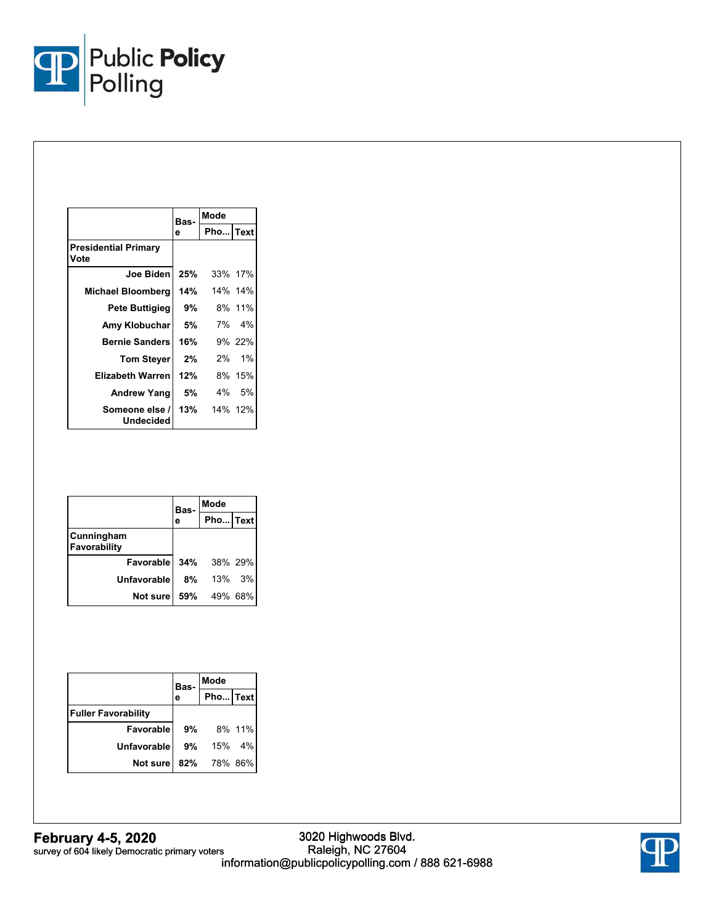

|                                     | Bas- | Mode        |         |
|-------------------------------------|------|-------------|---------|
|                                     | е    | Pho Text    |         |
| <b>Presidential Primary</b><br>Vote |      |             |         |
| Joe Biden                           | 25%  |             | 33% 17% |
| Michael Bloomberg                   | 14%  |             | 14% 14% |
| Pete Buttigieg                      | 9%   |             | 8% 11%  |
| Amy Klobuchar                       | 5%   |             | 7% 4%   |
| <b>Bernie Sanders</b>               | 16%  |             | 9% 22%  |
| <b>Tom Stever</b>                   | 2%   |             | 2% 1%   |
| <b>Elizabeth Warren</b>             | 12%  |             | 8% 15%  |
| <b>Andrew Yang</b>                  | 5% l |             | 4% 5%   |
| Someone else /<br>Undecided         |      | 13% 14% 12% |         |

|                              | Bas- | Mode        |        |  |
|------------------------------|------|-------------|--------|--|
|                              | е    | Pho Text    |        |  |
| Cunningham<br>Favorability   |      |             |        |  |
| <b>Favorable 34%</b> 38% 29% |      |             |        |  |
| <b>Unfavorable</b>           | 8%   |             | 13% 3% |  |
| Not sure                     |      | 59% 49% 68% |        |  |

|                            | Bas- | Mode        |    |  |
|----------------------------|------|-------------|----|--|
|                            | е    | Pho Text    |    |  |
| <b>Fuller Favorability</b> |      |             |    |  |
| <b>Favorable</b>           |      | 9% 8% 11%   |    |  |
| <b>Unfavorable</b>         | 9%   | 15%         | 4% |  |
| Not sure                   |      | 82% 78% 86% |    |  |

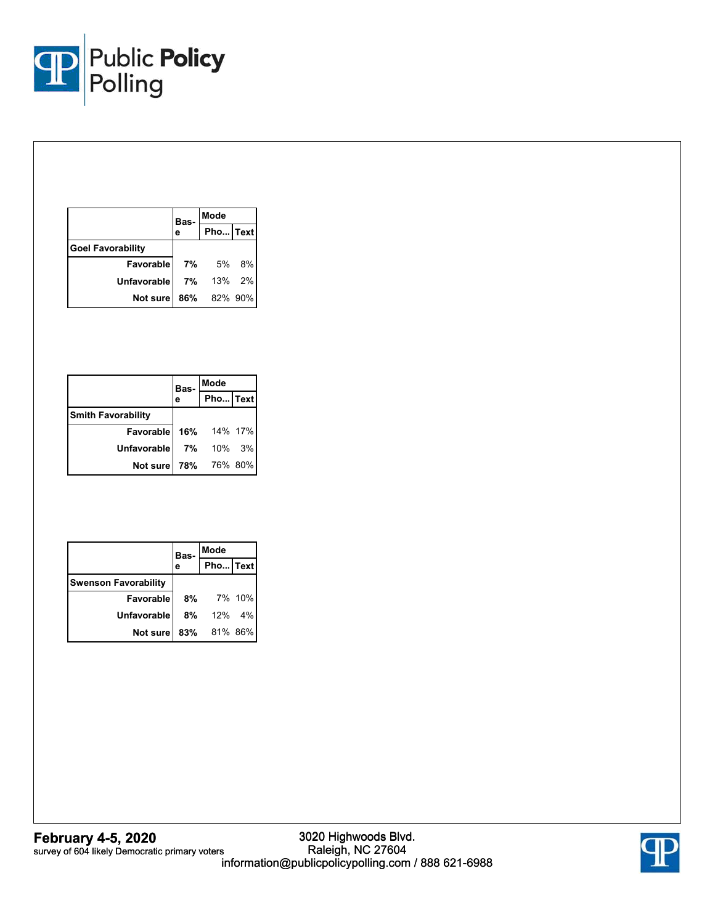

|                          | Bas- | Mode        |  |  |
|--------------------------|------|-------------|--|--|
|                          | е    | Pho Text    |  |  |
| <b>Goel Favorability</b> |      |             |  |  |
| <b>Favorable</b>         |      | 7% 5% 8%    |  |  |
| Unfavorable              |      | 7% 13% 2%   |  |  |
| Not sure                 |      | 86% 82% 90% |  |  |

|                              | Bas- | Mode      |  |  |
|------------------------------|------|-----------|--|--|
|                              | е    | Pho Text  |  |  |
| <b>Smith Favorability</b>    |      |           |  |  |
| <b>Favorable 16%</b> 14% 17% |      |           |  |  |
| <b>Unfavorable</b>           |      | 7% 10% 3% |  |  |
| Not sure 78% 76% 80%         |      |           |  |  |

|                             | Bas- | Mode      |  |
|-----------------------------|------|-----------|--|
|                             |      | Pho Text  |  |
| <b>Swenson Favorability</b> |      |           |  |
| Favorable                   |      | 8% 7% 10% |  |
| <b>Unfavorable</b>          |      | 8% 12% 4% |  |
| Not sure 83% 81% 86%        |      |           |  |

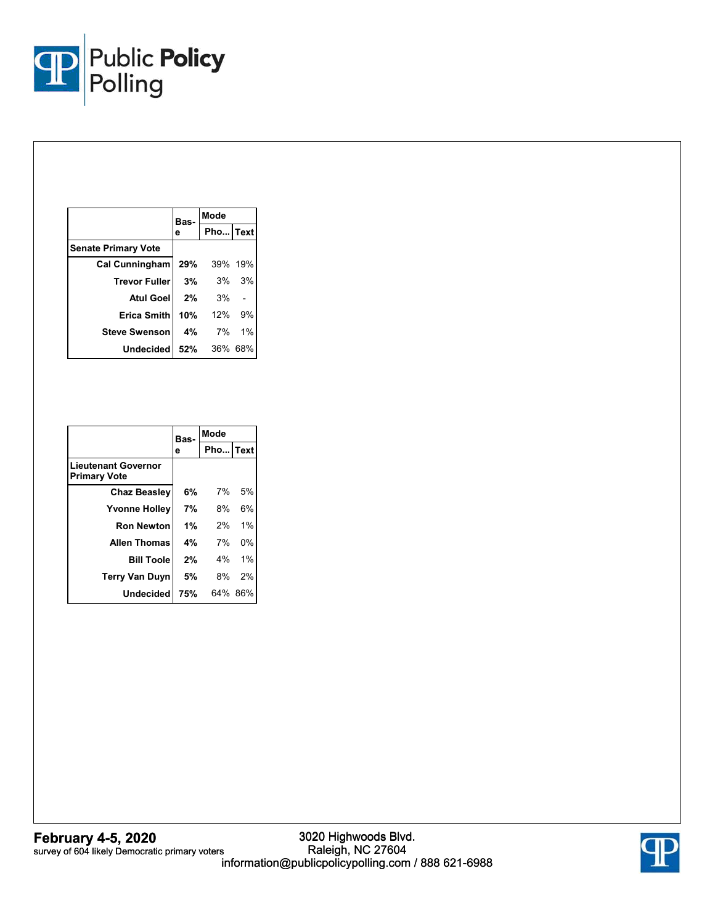

|                              | Bas- | Mode        |    |  |
|------------------------------|------|-------------|----|--|
|                              | е    | Pho Text    |    |  |
| <b>Senate Primary Vote</b>   |      |             |    |  |
| Cal Cunningham   29% 39% 19% |      |             |    |  |
| <b>Trevor Fuller</b>         |      | 3% 3% 3%    |    |  |
| <b>Atul Goel</b>             | 2%   | 3%          |    |  |
| Erica Smith                  | 10%  | 12%         | 9% |  |
| <b>Steve Swenson</b>         |      | 4% 7% 1%    |    |  |
| Undecided                    |      | 52% 36% 68% |    |  |

|                                                   | Bas- | Mode     |         |
|---------------------------------------------------|------|----------|---------|
|                                                   | е    | Pho Text |         |
| <b>Lieutenant Governor</b><br><b>Primary Vote</b> |      |          |         |
| <b>Chaz Beasley</b>                               | 6%   | 7%       | 5%      |
| <b>Yvonne Holley</b>                              | 7%   | 8%       | 6%      |
| <b>Ron Newton</b>                                 | 1%   | 2%       | 1%      |
| <b>Allen Thomas</b>                               | 4%   | 7%       | 0%      |
| <b>Bill Toole</b>                                 | 2%   |          | 4% 1%   |
| <b>Terry Van Duyn</b>                             | 5%   | 8%       | 2%      |
| Undecided                                         | 75%  |          | 64% 86% |

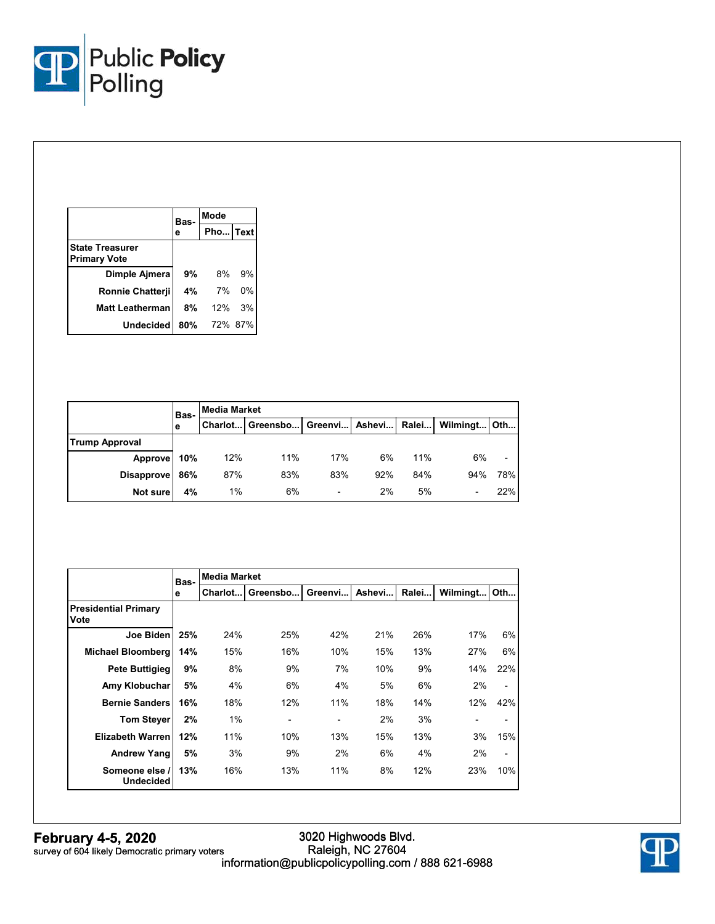

|                                               | Bas- | Mode     |    |  |
|-----------------------------------------------|------|----------|----|--|
|                                               | е    | Pho Text |    |  |
| <b>State Treasurer</b><br><b>Primary Vote</b> |      |          |    |  |
| Dimple Ajmera                                 | 9%   | 8%       | 9% |  |
| Ronnie Chatterji                              | 4%   | 7%       | 0% |  |
| <b>Matt Leatherman</b>                        | 8%   | 12%      | 3% |  |
| Undecided                                     | 80%  | 72% 87%  |    |  |

|                       | Bas- | <b>Media Market</b> |                                                                |     |     |     |     |     |
|-----------------------|------|---------------------|----------------------------------------------------------------|-----|-----|-----|-----|-----|
|                       | е    |                     | Charlot   Greensbo   Greenvi   Ashevi   Ralei   Wilmingt   Oth |     |     |     |     |     |
| <b>Trump Approval</b> |      |                     |                                                                |     |     |     |     |     |
| Approve               | 10%  | 12%                 | 11%                                                            | 17% | 6%  | 11% | 6%  |     |
| Disapprove 86%        |      | 87%                 | 83%                                                            | 83% | 92% | 84% | 94% | 78% |
| Not sure              | 4%   | 1%                  | 6%                                                             |     | 2%  | 5%  |     | 22% |

|                                     | Bas- | <b>Media Market</b> |                |                |        |       |                          |                          |
|-------------------------------------|------|---------------------|----------------|----------------|--------|-------|--------------------------|--------------------------|
|                                     | е    | Charlot             | Greensbo       | Greenvi        | Ashevi | Ralei | Wilmingt                 | Oth                      |
| <b>Presidential Primary</b><br>Vote |      |                     |                |                |        |       |                          |                          |
| Joe Biden                           | 25%  | 24%                 | 25%            | 42%            | 21%    | 26%   | 17%                      | 6%                       |
| <b>Michael Bloomberg</b>            | 14%  | 15%                 | 16%            | 10%            | 15%    | 13%   | 27%                      | 6%                       |
| <b>Pete Buttigieg</b>               | 9%   | 8%                  | 9%             | 7%             | 10%    | 9%    | 14%                      | 22%                      |
| Amy Klobuchar                       | 5%   | 4%                  | 6%             | 4%             | 5%     | 6%    | 2%                       | $\overline{a}$           |
| <b>Bernie Sanders</b>               | 16%  | 18%                 | 12%            | 11%            | 18%    | 14%   | 12%                      | 42%                      |
| <b>Tom Steyer</b>                   | 2%   | 1%                  | $\blacksquare$ | $\blacksquare$ | 2%     | 3%    | $\overline{\phantom{a}}$ | $\overline{\phantom{0}}$ |
| <b>Elizabeth Warren</b>             | 12%  | 11%                 | 10%            | 13%            | 15%    | 13%   | 3%                       | 15%                      |
| <b>Andrew Yangl</b>                 | 5%   | 3%                  | 9%             | 2%             | 6%     | 4%    | 2%                       | $\overline{\phantom{0}}$ |
| Someone else /<br><b>Undecided</b>  | 13%  | 16%                 | 13%            | 11%            | 8%     | 12%   | 23%                      | 10%                      |

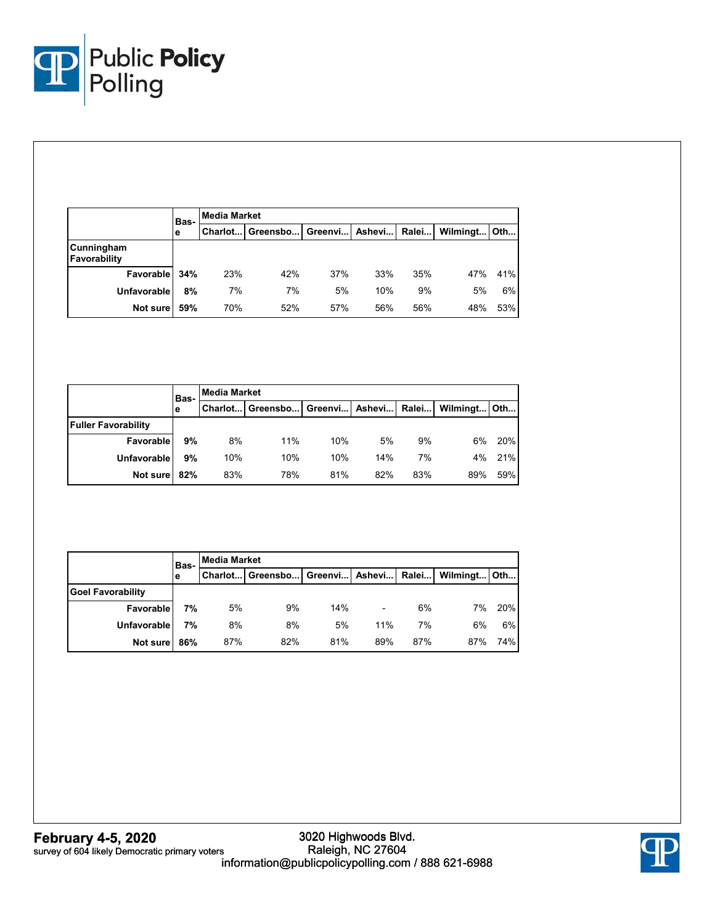

|                            | Bas- | Media Market |                                               |     |     |     |                |     |
|----------------------------|------|--------------|-----------------------------------------------|-----|-----|-----|----------------|-----|
|                            | е    |              | Charlot   Greensbo   Greenvi   Ashevi   Ralei |     |     |     | Wilmingt   Oth |     |
| Cunningham<br>Favorability |      |              |                                               |     |     |     |                |     |
| Favorable                  | 34%  | 23%          | 42%                                           | 37% | 33% | 35% | 47%            | 41% |
| <b>Unfavorable</b>         | 8%   | 7%           | 7%                                            | 5%  | 10% | 9%  | 5%             | 6%  |
| Not sure                   | 59%  | 70%          | 52%                                           | 57% | 56% | 56% | 48%            | 53% |

|                            | <b>Media Market</b><br>Bas- |     |                                           |     |     |     |              |     |
|----------------------------|-----------------------------|-----|-------------------------------------------|-----|-----|-----|--------------|-----|
|                            | е                           |     | Charlot Greensbo Greenvi   Ashevi   Ralei |     |     |     | Wilmingt Oth |     |
| <b>Fuller Favorability</b> |                             |     |                                           |     |     |     |              |     |
| Favorable                  | 9%                          | 8%  | 11%                                       | 10% | 5%  | 9%  | 6%           | 20% |
| Unfavorable                | 9%                          | 10% | 10%                                       | 10% | 14% | 7%  | 4%           | 21% |
| Not sure                   | 82%                         | 83% | 78%                                       | 81% | 82% | 83% | 89%          | 59% |

|                          | Bas- | <b>Media Market</b> |                                                                |     |     |     |     |     |  |  |
|--------------------------|------|---------------------|----------------------------------------------------------------|-----|-----|-----|-----|-----|--|--|
|                          | е    |                     | Charlot   Greensbo   Greenvi   Ashevi   Ralei   Wilmingt   Oth |     |     |     |     |     |  |  |
| <b>Goel Favorability</b> |      |                     |                                                                |     |     |     |     |     |  |  |
| Favorable                | 7%   | 5%                  | 9%                                                             | 14% |     | 6%  | 7%  | 20% |  |  |
| <b>Unfavorable</b>       | 7%   | 8%                  | 8%                                                             | 5%  | 11% | 7%  | 6%  | 6%  |  |  |
| Not sure                 | 86%  | 87%                 | 82%                                                            | 81% | 89% | 87% | 87% | 74% |  |  |

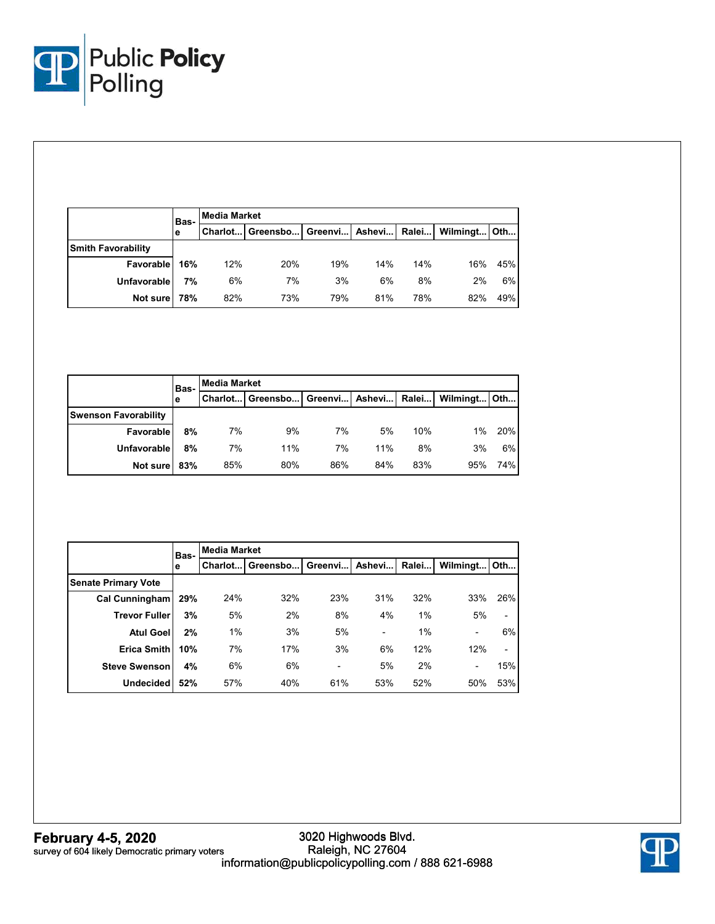

|                           | Bas- | <b>Media Market</b> |                                           |     |     |     |              |     |  |  |
|---------------------------|------|---------------------|-------------------------------------------|-----|-----|-----|--------------|-----|--|--|
|                           | е    |                     | Charlot Greensbo Greenvi   Ashevi   Ralei |     |     |     | Wilmingt Oth |     |  |  |
| <b>Smith Favorability</b> |      |                     |                                           |     |     |     |              |     |  |  |
| Favorable                 | 16%  | 12%                 | 20%                                       | 19% | 14% | 14% | 16%          | 45% |  |  |
| <b>Unfavorable</b>        | 7%   | 6%                  | 7%                                        | 3%  | 6%  | 8%  | 2%           | 6%  |  |  |
| Not sure                  | 78%  | 82%                 | 73%                                       | 79% | 81% | 78% | 82%          | 49% |  |  |

|                             | Bas-<br>е | <b>Media Market</b> |                                               |     |     |     |              |     |  |  |  |
|-----------------------------|-----------|---------------------|-----------------------------------------------|-----|-----|-----|--------------|-----|--|--|--|
|                             |           |                     | Charlot   Greensbo   Greenvi   Ashevi   Ralei |     |     |     | Wilmingt Oth |     |  |  |  |
| <b>Swenson Favorability</b> |           |                     |                                               |     |     |     |              |     |  |  |  |
| Favorable                   | 8%        | 7%                  | 9%                                            | 7%  | 5%  | 10% | 1%           | 20% |  |  |  |
| Unfavorable                 | 8%        | 7%                  | 11%                                           | 7%  | 11% | 8%  | 3%           | 6%  |  |  |  |
| Not sure                    | 83%       | 85%                 | 80%                                           | 86% | 84% | 83% | 95%          | 74% |  |  |  |

|                            | Bas- | <b>Media Market</b> |          |         |        |       |                          |     |  |  |
|----------------------------|------|---------------------|----------|---------|--------|-------|--------------------------|-----|--|--|
|                            | e    | Charlot             | Greensbo | Greenvi | Ashevi | Ralei | Wilmingt Oth             |     |  |  |
| <b>Senate Primary Vote</b> |      |                     |          |         |        |       |                          |     |  |  |
| <b>Cal Cunningham</b>      | 29%  | 24%                 | 32%      | 23%     | 31%    | 32%   | 33%                      | 26% |  |  |
| <b>Trevor Fuller</b>       | 3%   | 5%                  | 2%       | 8%      | 4%     | 1%    | 5%                       |     |  |  |
| <b>Atul Goel</b>           | 2%   | 1%                  | 3%       | 5%      | -      | 1%    | $\overline{\phantom{a}}$ | 6%  |  |  |
| <b>Erica Smith</b>         | 10%  | 7%                  | 17%      | 3%      | 6%     | 12%   | 12%                      |     |  |  |
| <b>Steve Swenson</b>       | 4%   | 6%                  | 6%       | -       | 5%     | 2%    | $\overline{\phantom{a}}$ | 15% |  |  |
| <b>Undecided</b>           | 52%  | 57%                 | 40%      | 61%     | 53%    | 52%   | 50%                      | 53% |  |  |